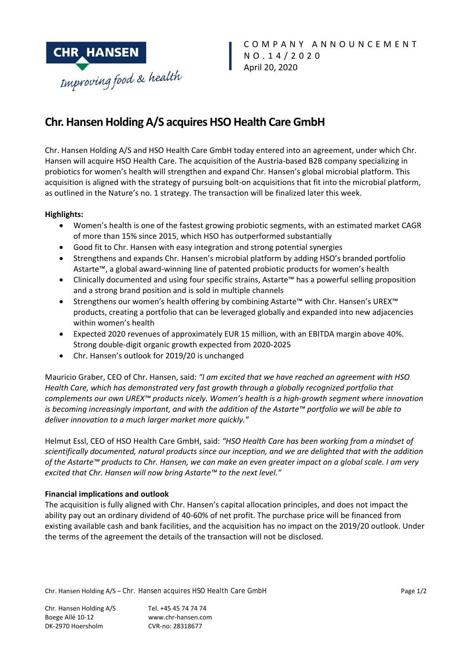

# **Chr. Hansen Holding A/S acquires HSO Health Care GmbH**

Chr. Hansen Holding A/S and HSO Health Care GmbH today entered into an agreement, under which Chr. Hansen will acquire HSO Health Care. The acquisition of the Austria‐based B2B company specializing in probiotics for women's health will strengthen and expand Chr. Hansen's global microbial platform. This acquisition is aligned with the strategy of pursuing bolt‐on acquisitions that fit into the microbial platform, as outlined in the Nature's no. 1 strategy. The transaction will be finalized later this week.

# **Highlights:**

- Women's health is one of the fastest growing probiotic segments, with an estimated market CAGR of more than 15% since 2015, which HSO has outperformed substantially
- Good fit to Chr. Hansen with easy integration and strong potential synergies
- Strengthens and expands Chr. Hansen's microbial platform by adding HSO's branded portfolio Astarte™, a global award‐winning line of patented probiotic products for women's health
- Clinically documented and using four specific strains, Astarte™ has a powerful selling proposition and a strong brand position and is sold in multiple channels
- Strengthens our women's health offering by combining Astarte™ with Chr. Hansen's UREX™ products, creating a portfolio that can be leveraged globally and expanded into new adjacencies within women's health
- Expected 2020 revenues of approximately EUR 15 million, with an EBITDA margin above 40%. Strong double‐digit organic growth expected from 2020‐2025
- Chr. Hansen's outlook for 2019/20 is unchanged

Mauricio Graber, CEO of Chr. Hansen, said: *"I am excited that we have reached an agreement with HSO Health Care, which has demonstrated very fast growth through a globally recognized portfolio that complements our own UREX™ products nicely. Women's health is a high‐growth segment where innovation is becoming increasingly important, and with the addition of the Astarte™ portfolio we will be able to deliver innovation to a much larger market more quickly."* 

Helmut Essl, CEO of HSO Health Care GmbH, said: *"HSO Health Care has been working from a mindset of scientifically documented, natural products since our inception, and we are delighted that with the addition of the Astarte™ products to Chr. Hansen, we can make an even greater impact on a global scale. I am very excited that Chr. Hansen will now bring Astarte™ to the next level."* 

# **Financial implications and outlook**

The acquisition is fully aligned with Chr. Hansen's capital allocation principles, and does not impact the ability pay out an ordinary dividend of 40‐60% of net profit. The purchase price will be financed from existing available cash and bank facilities, and the acquisition has no impact on the 2019/20 outlook. Under the terms of the agreement the details of the transaction will not be disclosed.

Chr. Hansen Holding A/S – Chr. Hansen acquires HSO Health Care GmbH Page 1/2